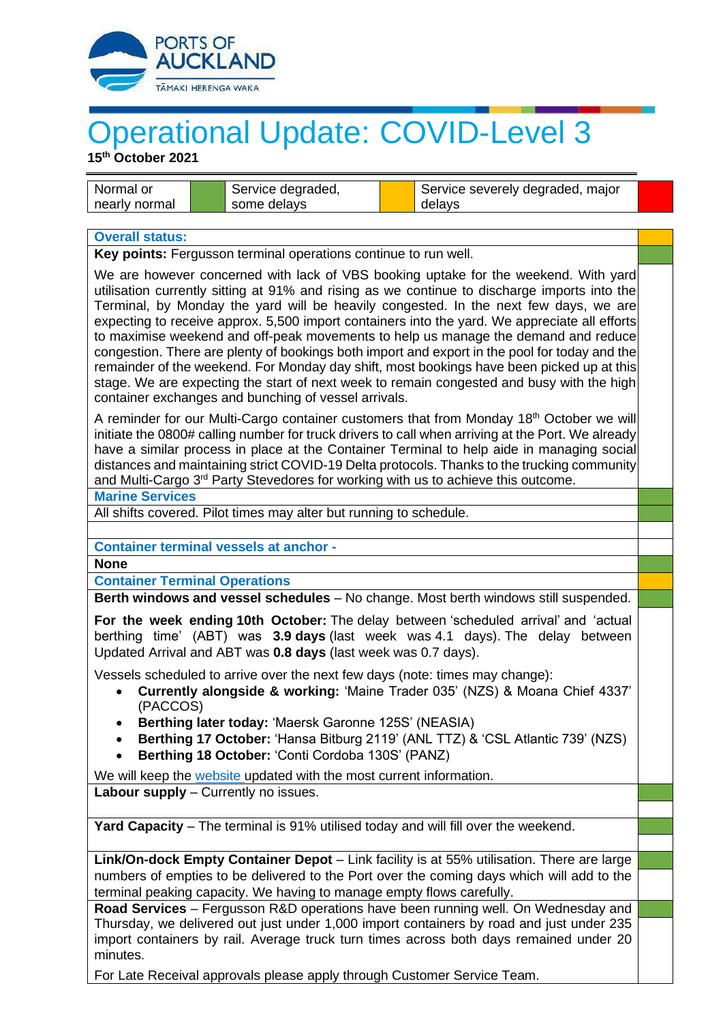

## Operational Update: COVID-Level 3

**15 th October 2021**

| l Normal or   | Service degraded, | Service severely degraded, major |
|---------------|-------------------|----------------------------------|
| nearly normal | some delays       | delavs                           |

## **Overall status:**

**Key points:** Fergusson terminal operations continue to run well.

We are however concerned with lack of VBS booking uptake for the weekend. With yard utilisation currently sitting at 91% and rising as we continue to discharge imports into the Terminal, by Monday the yard will be heavily congested. In the next few days, we are expecting to receive approx. 5,500 import containers into the yard. We appreciate all efforts to maximise weekend and off-peak movements to help us manage the demand and reduce congestion. There are plenty of bookings both import and export in the pool for today and the remainder of the weekend. For Monday day shift, most bookings have been picked up at this stage. We are expecting the start of next week to remain congested and busy with the high container exchanges and bunching of vessel arrivals.

A reminder for our Multi-Cargo container customers that from Monday  $18<sup>th</sup>$  October we will initiate the 0800# calling number for truck drivers to call when arriving at the Port. We already have a similar process in place at the Container Terminal to help aide in managing social distances and maintaining strict COVID-19 Delta protocols. Thanks to the trucking community and Multi-Cargo 3<sup>rd</sup> Party Stevedores for working with us to achieve this outcome.

## **Marine Services**

All shifts covered. Pilot times may alter but running to schedule.

**Container terminal vessels at anchor -**

**None**

**Container Terminal Operations**

**Berth windows and vessel schedules** – No change. Most berth windows still suspended.

**For the week ending 10th October:** The delay between 'scheduled arrival' and 'actual berthing time' (ABT) was **3.9 days** (last week was 4.1 days). The delay between Updated Arrival and ABT was **0.8 days** (last week was 0.7 days).

Vessels scheduled to arrive over the next few days (note: times may change):

- **Currently alongside & working:** 'Maine Trader 035' (NZS) & Moana Chief 4337' (PACCOS)
- **Berthing later today:** 'Maersk Garonne 125S' (NEASIA)
- **Berthing 17 October:** 'Hansa Bitburg 2119' (ANL TTZ) & 'CSL Atlantic 739' (NZS)
- **Berthing 18 October:** 'Conti Cordoba 130S' (PANZ)

We will keep the [website](http://www.poal.co.nz/) updated with the most current information.

**Labour supply** – Currently no issues.

**Yard Capacity** – The terminal is 91% utilised today and will fill over the weekend.

**Link/On-dock Empty Container Depot** – Link facility is at 55% utilisation. There are large numbers of empties to be delivered to the Port over the coming days which will add to the terminal peaking capacity. We having to manage empty flows carefully.

**Road Services** – Fergusson R&D operations have been running well. On Wednesday and Thursday, we delivered out just under 1,000 import containers by road and just under 235 import containers by rail. Average truck turn times across both days remained under 20 minutes.

For Late Receival approvals please apply through Customer Service Team.